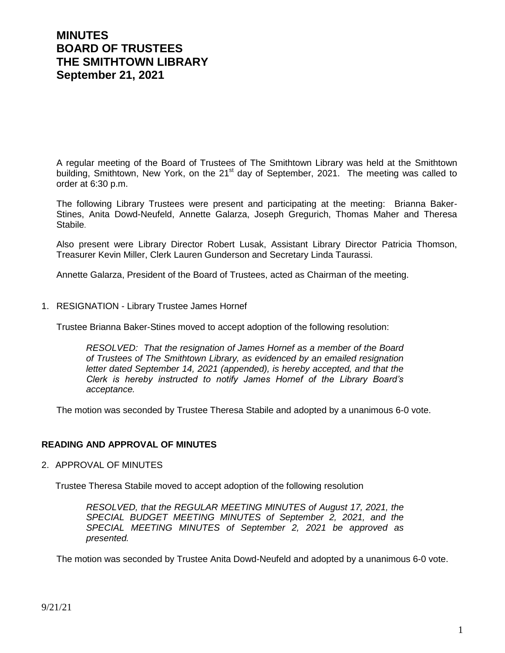# **MINUTES BOARD OF TRUSTEES THE SMITHTOWN LIBRARY September 21, 2021**

A regular meeting of the Board of Trustees of The Smithtown Library was held at the Smithtown building, Smithtown, New York, on the 21<sup>st</sup> day of September, 2021. The meeting was called to order at 6:30 p.m.

The following Library Trustees were present and participating at the meeting: Brianna Baker-Stines, Anita Dowd-Neufeld, Annette Galarza, Joseph Gregurich, Thomas Maher and Theresa Stabile.

Also present were Library Director Robert Lusak, Assistant Library Director Patricia Thomson, Treasurer Kevin Miller, Clerk Lauren Gunderson and Secretary Linda Taurassi.

Annette Galarza, President of the Board of Trustees, acted as Chairman of the meeting.

1. RESIGNATION - Library Trustee James Hornef

Trustee Brianna Baker-Stines moved to accept adoption of the following resolution:

*RESOLVED: That the resignation of James Hornef as a member of the Board of Trustees of The Smithtown Library, as evidenced by an emailed resignation letter dated September 14, 2021 (appended), is hereby accepted, and that the Clerk is hereby instructed to notify James Hornef of the Library Board's acceptance.*

The motion was seconded by Trustee Theresa Stabile and adopted by a unanimous 6-0 vote.

# **READING AND APPROVAL OF MINUTES**

2. APPROVAL OF MINUTES

Trustee Theresa Stabile moved to accept adoption of the following resolution

*RESOLVED, that the REGULAR MEETING MINUTES of August 17, 2021, the SPECIAL BUDGET MEETING MINUTES of September 2, 2021, and the SPECIAL MEETING MINUTES of September 2, 2021 be approved as presented.*

The motion was seconded by Trustee Anita Dowd-Neufeld and adopted by a unanimous 6-0 vote.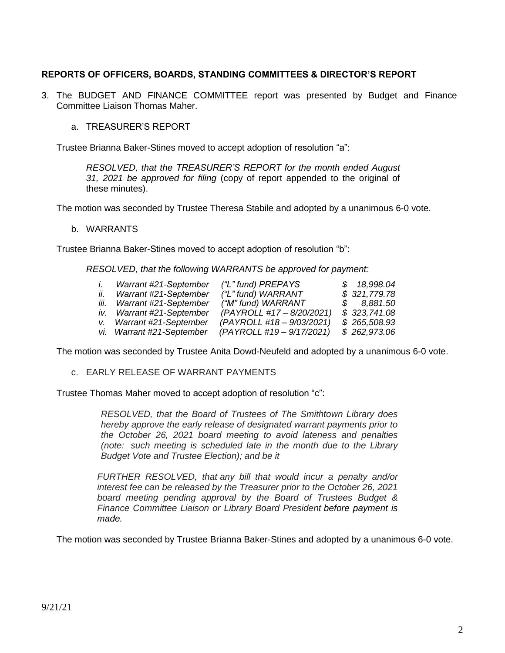# **REPORTS OF OFFICERS, BOARDS, STANDING COMMITTEES & DIRECTOR'S REPORT**

- 3. The BUDGET AND FINANCE COMMITTEE report was presented by Budget and Finance Committee Liaison Thomas Maher.
	- a. TREASURER'S REPORT

Trustee Brianna Baker-Stines moved to accept adoption of resolution "a":

*RESOLVED, that the TREASURER'S REPORT for the month ended August 31, 2021 be approved for filing* (copy of report appended to the original of these minutes).

The motion was seconded by Trustee Theresa Stabile and adopted by a unanimous 6-0 vote.

#### b. WARRANTS

Trustee Brianna Baker-Stines moved to accept adoption of resolution "b":

*RESOLVED, that the following WARRANTS be approved for payment:*

|     | Warrant #21-September      | ("L" fund) PREPAYS        | \$18,998.04  |
|-----|----------------------------|---------------------------|--------------|
| İİ. | Warrant #21-September      | ("L" fund) WARRANT        | \$321,779.78 |
|     | iii. Warrant #21-September | ("M" fund) WARRANT        | \$8,881.50   |
|     | iv. Warrant #21-September  | (PAYROLL #17 - 8/20/2021) | \$323,741.08 |
|     | v. Warrant #21-September   | (PAYROLL #18 - 9/03/2021) | \$265,508.93 |
|     | vi. Warrant #21-September  | (PAYROLL #19 - 9/17/2021) | \$262,973.06 |

The motion was seconded by Trustee Anita Dowd-Neufeld and adopted by a unanimous 6-0 vote.

c. EARLY RELEASE OF WARRANT PAYMENTS

Trustee Thomas Maher moved to accept adoption of resolution "c":

*RESOLVED, that the Board of Trustees of The Smithtown Library does hereby approve the early release of designated warrant payments prior to the October 26, 2021 board meeting to avoid lateness and penalties (note: such meeting is scheduled late in the month due to the Library Budget Vote and Trustee Election); and be it*

*FURTHER RESOLVED, that any bill that would incur a penalty and/or interest fee can be released by the Treasurer prior to the October 26, 2021 board meeting pending approval by the Board of Trustees Budget & Finance Committee Liaison or Library Board President before payment is made.*

The motion was seconded by Trustee Brianna Baker-Stines and adopted by a unanimous 6-0 vote.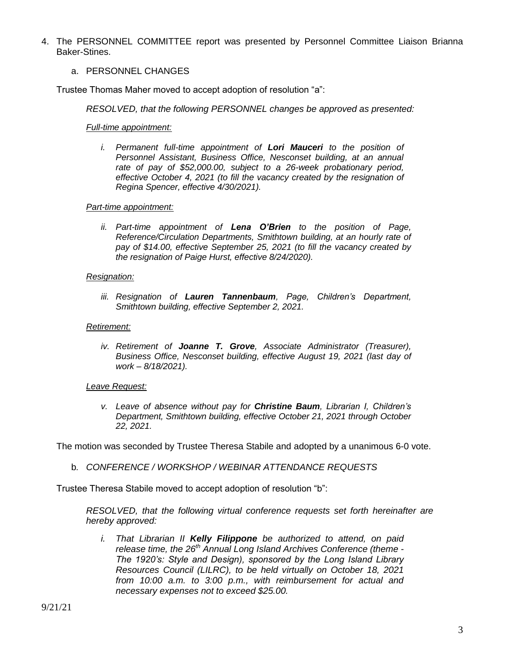4. The PERSONNEL COMMITTEE report was presented by Personnel Committee Liaison Brianna Baker-Stines.

### a. PERSONNEL CHANGES

Trustee Thomas Maher moved to accept adoption of resolution "a":

*RESOLVED, that the following PERSONNEL changes be approved as presented:*

*Full-time appointment:*

*i. Permanent full-time appointment of Lori Mauceri to the position of Personnel Assistant, Business Office, Nesconset building, at an annual rate of pay of \$52,000.00, subject to a 26-week probationary period, effective October 4, 2021 (to fill the vacancy created by the resignation of Regina Spencer, effective 4/30/2021).*

#### *Part-time appointment:*

*ii. Part-time appointment of Lena O'Brien to the position of Page, Reference/Circulation Departments, Smithtown building, at an hourly rate of pay of \$14.00, effective September 25, 2021 (to fill the vacancy created by the resignation of Paige Hurst, effective 8/24/2020).*

#### *Resignation:*

*iii. Resignation of Lauren Tannenbaum, Page, Children's Department, Smithtown building, effective September 2, 2021.*

#### *Retirement:*

*iv. Retirement of Joanne T. Grove, Associate Administrator (Treasurer), Business Office, Nesconset building, effective August 19, 2021 (last day of work – 8/18/2021).*

#### *Leave Request:*

*v. Leave of absence without pay for Christine Baum, Librarian I, Children's Department, Smithtown building, effective October 21, 2021 through October 22, 2021.*

The motion was seconded by Trustee Theresa Stabile and adopted by a unanimous 6-0 vote.

b*. CONFERENCE / WORKSHOP / WEBINAR ATTENDANCE REQUESTS*

Trustee Theresa Stabile moved to accept adoption of resolution "b":

*RESOLVED, that the following virtual conference requests set forth hereinafter are hereby approved:*

*i. That Librarian II Kelly Filippone be authorized to attend, on paid release time, the 26th Annual Long Island Archives Conference (theme - The 1920's: Style and Design), sponsored by the Long Island Library Resources Council (LILRC), to be held virtually on October 18, 2021 from 10:00 a.m. to 3:00 p.m., with reimbursement for actual and necessary expenses not to exceed \$25.00.*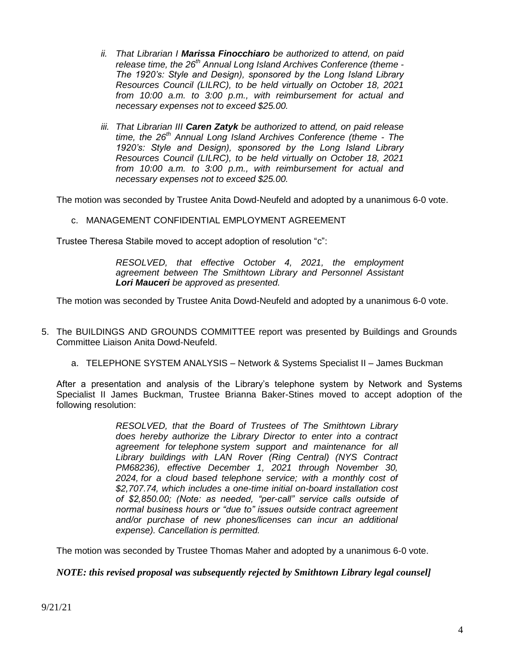- *ii. That Librarian I Marissa Finocchiaro be authorized to attend, on paid release time, the 26th Annual Long Island Archives Conference (theme - The 1920's: Style and Design), sponsored by the Long Island Library Resources Council (LILRC), to be held virtually on October 18, 2021 from 10:00 a.m. to 3:00 p.m., with reimbursement for actual and necessary expenses not to exceed \$25.00.*
- *iii. That Librarian III Caren Zatyk be authorized to attend, on paid release time, the 26th Annual Long Island Archives Conference (theme - The 1920's: Style and Design), sponsored by the Long Island Library Resources Council (LILRC), to be held virtually on October 18, 2021 from 10:00 a.m. to 3:00 p.m., with reimbursement for actual and necessary expenses not to exceed \$25.00.*

The motion was seconded by Trustee Anita Dowd-Neufeld and adopted by a unanimous 6-0 vote.

#### c. MANAGEMENT CONFIDENTIAL EMPLOYMENT AGREEMENT

Trustee Theresa Stabile moved to accept adoption of resolution "c":

*RESOLVED, that effective October 4, 2021, the employment agreement between The Smithtown Library and Personnel Assistant Lori Mauceri be approved as presented.*

The motion was seconded by Trustee Anita Dowd-Neufeld and adopted by a unanimous 6-0 vote.

- 5. The BUILDINGS AND GROUNDS COMMITTEE report was presented by Buildings and Grounds Committee Liaison Anita Dowd-Neufeld.
	- a. TELEPHONE SYSTEM ANALYSIS Network & Systems Specialist II James Buckman

After a presentation and analysis of the Library's telephone system by Network and Systems Specialist II James Buckman, Trustee Brianna Baker-Stines moved to accept adoption of the following resolution:

> *RESOLVED, that the Board of Trustees of The Smithtown Library does hereby authorize the Library Director to enter into a contract agreement for telephone system support and maintenance for all Library buildings with LAN Rover (Ring Central) (NYS Contract PM68236), effective December 1, 2021 through November 30, 2024, for a cloud based telephone service; with a monthly cost of \$2,707.74, which includes a one-time initial on-board installation cost of \$2,850.00; (Note: as needed, "per-call" service calls outside of normal business hours or "due to" issues outside contract agreement and/or purchase of new phones/licenses can incur an additional expense). Cancellation is permitted.*

The motion was seconded by Trustee Thomas Maher and adopted by a unanimous 6-0 vote.

*NOTE: this revised proposal was subsequently rejected by Smithtown Library legal counsel]*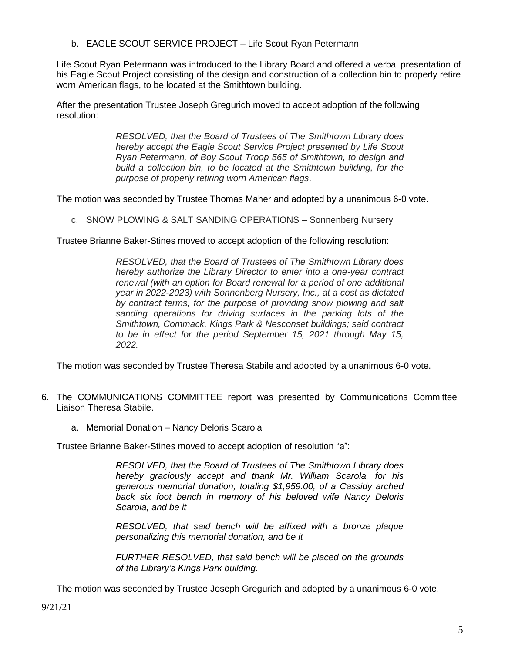b. EAGLE SCOUT SERVICE PROJECT – Life Scout Ryan Petermann

Life Scout Ryan Petermann was introduced to the Library Board and offered a verbal presentation of his Eagle Scout Project consisting of the design and construction of a collection bin to properly retire worn American flags, to be located at the Smithtown building.

After the presentation Trustee Joseph Gregurich moved to accept adoption of the following resolution:

> *RESOLVED, that the Board of Trustees of The Smithtown Library does hereby accept the Eagle Scout Service Project presented by Life Scout Ryan Petermann, of Boy Scout Troop 565 of Smithtown, to design and build a collection bin, to be located at the Smithtown building, for the purpose of properly retiring worn American flags*.

The motion was seconded by Trustee Thomas Maher and adopted by a unanimous 6-0 vote.

c. SNOW PLOWING & SALT SANDING OPERATIONS – Sonnenberg Nursery

Trustee Brianne Baker-Stines moved to accept adoption of the following resolution:

*RESOLVED, that the Board of Trustees of The Smithtown Library does hereby authorize the Library Director to enter into a one-year contract renewal (with an option for Board renewal for a period of one additional year in 2022-2023) with Sonnenberg Nursery, Inc., at a cost as dictated by contract terms, for the purpose of providing snow plowing and salt sanding operations for driving surfaces in the parking lots of the Smithtown, Commack, Kings Park & Nesconset buildings; said contract to be in effect for the period September 15, 2021 through May 15, 2022.*

The motion was seconded by Trustee Theresa Stabile and adopted by a unanimous 6-0 vote.

- 6. The COMMUNICATIONS COMMITTEE report was presented by Communications Committee Liaison Theresa Stabile.
	- a. Memorial Donation Nancy Deloris Scarola

Trustee Brianne Baker-Stines moved to accept adoption of resolution "a":

*RESOLVED, that the Board of Trustees of The Smithtown Library does hereby graciously accept and thank Mr. William Scarola, for his generous memorial donation, totaling \$1,959.00, of a Cassidy arched back six foot bench in memory of his beloved wife Nancy Deloris Scarola, and be it* 

*RESOLVED, that said bench will be affixed with a bronze plaque personalizing this memorial donation, and be it*

*FURTHER RESOLVED, that said bench will be placed on the grounds of the Library's Kings Park building.*

The motion was seconded by Trustee Joseph Gregurich and adopted by a unanimous 6-0 vote.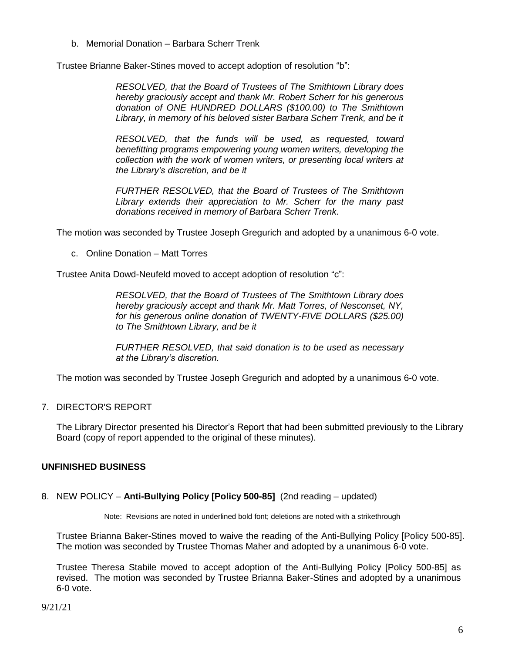b. Memorial Donation – Barbara Scherr Trenk

Trustee Brianne Baker-Stines moved to accept adoption of resolution "b":

*RESOLVED, that the Board of Trustees of The Smithtown Library does hereby graciously accept and thank Mr. Robert Scherr for his generous donation of ONE HUNDRED DOLLARS (\$100.00) to The Smithtown Library, in memory of his beloved sister Barbara Scherr Trenk, and be it* 

*RESOLVED, that the funds will be used, as requested, toward benefitting programs empowering young women writers, developing the collection with the work of women writers, or presenting local writers at the Library's discretion, and be it*

*FURTHER RESOLVED, that the Board of Trustees of The Smithtown Library extends their appreciation to Mr. Scherr for the many past donations received in memory of Barbara Scherr Trenk.*

The motion was seconded by Trustee Joseph Gregurich and adopted by a unanimous 6-0 vote.

c. Online Donation – Matt Torres

Trustee Anita Dowd-Neufeld moved to accept adoption of resolution "c":

*RESOLVED, that the Board of Trustees of The Smithtown Library does hereby graciously accept and thank Mr. Matt Torres, of Nesconset, NY, for his generous online donation of TWENTY-FIVE DOLLARS (\$25.00) to The Smithtown Library, and be it*

*FURTHER RESOLVED, that said donation is to be used as necessary at the Library's discretion.*

The motion was seconded by Trustee Joseph Gregurich and adopted by a unanimous 6-0 vote.

7. DIRECTOR'S REPORT

The Library Director presented his Director's Report that had been submitted previously to the Library Board (copy of report appended to the original of these minutes).

# **UNFINISHED BUSINESS**

8. NEW POLICY – **Anti-Bullying Policy [Policy 500-85]** (2nd reading – updated)

Note: Revisions are noted in underlined bold font; deletions are noted with a strikethrough

Trustee Brianna Baker-Stines moved to waive the reading of the Anti-Bullying Policy [Policy 500-85]. The motion was seconded by Trustee Thomas Maher and adopted by a unanimous 6-0 vote.

Trustee Theresa Stabile moved to accept adoption of the Anti-Bullying Policy [Policy 500-85] as revised. The motion was seconded by Trustee Brianna Baker-Stines and adopted by a unanimous 6-0 vote.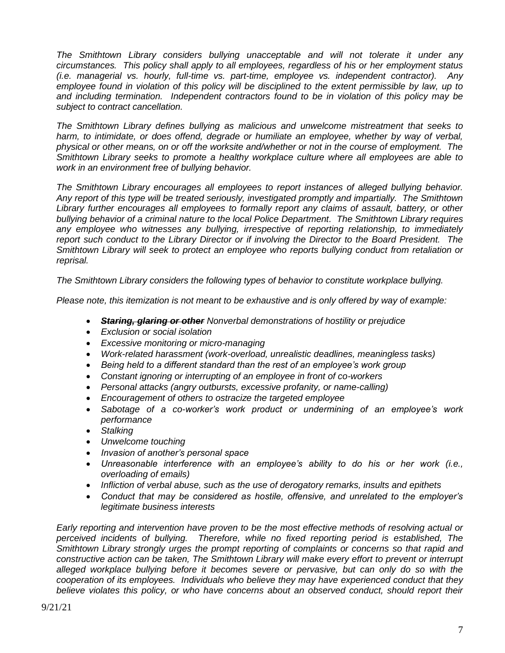*The Smithtown Library considers bullying unacceptable and will not tolerate it under any circumstances. This policy shall apply to all employees, regardless of his or her employment status (i.e. managerial vs. hourly, full-time vs. part-time, employee vs. independent contractor). Any*  employee found in violation of this policy will be disciplined to the extent permissible by law, up to *and including termination. Independent contractors found to be in violation of this policy may be subject to contract cancellation.*

*The Smithtown Library defines bullying as malicious and unwelcome mistreatment that seeks to*  harm, to intimidate, or does offend, degrade or humiliate an employee, whether by way of verbal, *physical or other means, on or off the worksite and/whether or not in the course of employment. The Smithtown Library seeks to promote a healthy workplace culture where all employees are able to work in an environment free of bullying behavior.*

*The Smithtown Library encourages all employees to report instances of alleged bullying behavior. Any report of this type will be treated seriously, investigated promptly and impartially. The Smithtown Library further encourages all employees to formally report any claims of assault, battery, or other bullying behavior of a criminal nature to the local Police Department. The Smithtown Library requires any employee who witnesses any bullying, irrespective of reporting relationship, to immediately report such conduct to the Library Director or if involving the Director to the Board President. The Smithtown Library will seek to protect an employee who reports bullying conduct from retaliation or reprisal.*

*The Smithtown Library considers the following types of behavior to constitute workplace bullying.*

*Please note, this itemization is not meant to be exhaustive and is only offered by way of example:*

- *Staring, glaring or other Nonverbal demonstrations of hostility or prejudice*
- *Exclusion or social isolation*
- *Excessive monitoring or micro-managing*
- *Work-related harassment (work-overload, unrealistic deadlines, meaningless tasks)*
- *Being held to a different standard than the rest of an employee's work group*
- *Constant ignoring or interrupting of an employee in front of co-workers*
- *Personal attacks (angry outbursts, excessive profanity, or name-calling)*
- *Encouragement of others to ostracize the targeted employee*
- *Sabotage of a co-worker's work product or undermining of an employee's work performance*
- *Stalking*
- *Unwelcome touching*
- *Invasion of another's personal space*
- *Unreasonable interference with an employee's ability to do his or her work (i.e., overloading of emails)*
- *Infliction of verbal abuse, such as the use of derogatory remarks, insults and epithets*
- *Conduct that may be considered as hostile, offensive, and unrelated to the employer's legitimate business interests*

*Early reporting and intervention have proven to be the most effective methods of resolving actual or perceived incidents of bullying. Therefore, while no fixed reporting period is established, The Smithtown Library strongly urges the prompt reporting of complaints or concerns so that rapid and constructive action can be taken, The Smithtown Library will make every effort to prevent or interrupt alleged workplace bullying before it becomes severe or pervasive, but can only do so with the cooperation of its employees. Individuals who believe they may have experienced conduct that they believe violates this policy, or who have concerns about an observed conduct, should report their*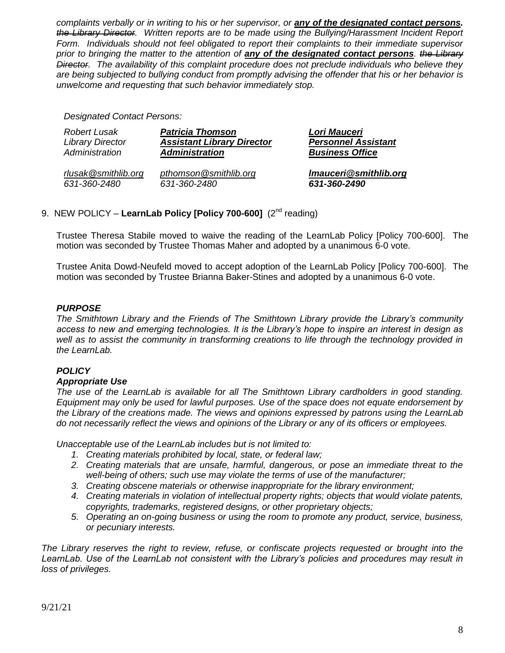*complaints verbally or in writing to his or her supervisor, or any of the designated contact persons. the Library Director. Written reports are to be made using the Bullying/Harassment Incident Report Form. Individuals should not feel obligated to report their complaints to their immediate supervisor prior to bringing the matter to the attention of any of the designated contact persons. the Library Director. The availability of this complaint procedure does not preclude individuals who believe they are being subjected to bullying conduct from promptly advising the offender that his or her behavior is unwelcome and requesting that such behavior immediately stop.*

*Designated Contact Persons:*

| Robert Lusak            | <b>Patricia Thomson</b>           | Lori Mauceri               |
|-------------------------|-----------------------------------|----------------------------|
| <b>Library Director</b> | <b>Assistant Library Director</b> | <b>Personnel Assistant</b> |
| Administration          | <b>Administration</b>             | <b>Business Office</b>     |
| rlusak@smithlib.org     | pthomson@smithlib.org             | Imauceri@smithlib.org      |
| 631-360-2480            | 631-360-2480                      | 631-360-2490               |

# 9. NEW POLICY - LearnLab Policy [Policy 700-600] (2<sup>nd</sup> reading)

Trustee Theresa Stabile moved to waive the reading of the LearnLab Policy [Policy 700-600]. The motion was seconded by Trustee Thomas Maher and adopted by a unanimous 6-0 vote.

Trustee Anita Dowd-Neufeld moved to accept adoption of the LearnLab Policy [Policy 700-600]. The motion was seconded by Trustee Brianna Baker-Stines and adopted by a unanimous 6-0 vote.

# *PURPOSE*

*The Smithtown Library and the Friends of The Smithtown Library provide the Library's community access to new and emerging technologies. It is the Library's hope to inspire an interest in design as well as to assist the community in transforming creations to life through the technology provided in the LearnLab.* 

# *POLICY*

#### *Appropriate Use*

*The use of the LearnLab is available for all The Smithtown Library cardholders in good standing. Equipment may only be used for lawful purposes. Use of the space does not equate endorsement by the Library of the creations made. The views and opinions expressed by patrons using the LearnLab do not necessarily reflect the views and opinions of the Library or any of its officers or employees.*

*Unacceptable use of the LearnLab includes but is not limited to:*

- *1. Creating materials prohibited by local, state, or federal law;*
- *2. Creating materials that are unsafe, harmful, dangerous, or pose an immediate threat to the well-being of others; such use may violate the terms of use of the manufacturer;*
- *3. Creating obscene materials or otherwise inappropriate for the library environment;*
- *4. Creating materials in violation of intellectual property rights; objects that would violate patents, copyrights, trademarks, registered designs, or other proprietary objects;*
- *5. Operating an on-going business or using the room to promote any product, service, business, or pecuniary interests.*

*The Library reserves the right to review, refuse, or confiscate projects requested or brought into the LearnLab. Use of the LearnLab not consistent with the Library's policies and procedures may result in loss of privileges.*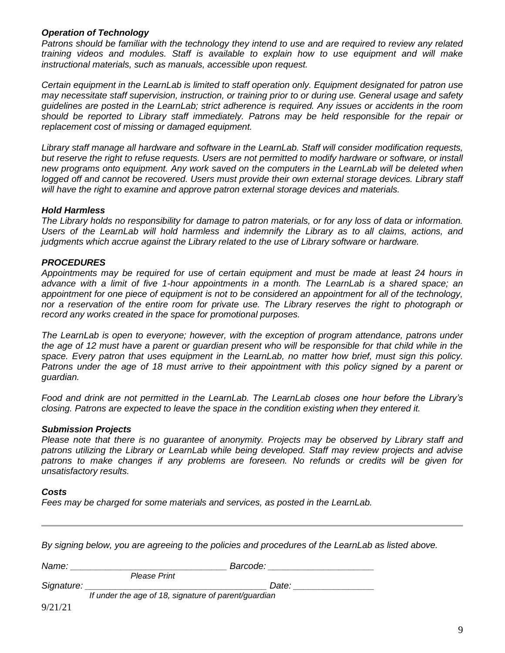### *Operation of Technology*

*Patrons should be familiar with the technology they intend to use and are required to review any related training videos and modules. Staff is available to explain how to use equipment and will make instructional materials, such as manuals, accessible upon request.* 

*Certain equipment in the LearnLab is limited to staff operation only. Equipment designated for patron use may necessitate staff supervision, instruction, or training prior to or during use. General usage and safety guidelines are posted in the LearnLab; strict adherence is required. Any issues or accidents in the room should be reported to Library staff immediately. Patrons may be held responsible for the repair or replacement cost of missing or damaged equipment.*

*Library staff manage all hardware and software in the LearnLab. Staff will consider modification requests, but reserve the right to refuse requests. Users are not permitted to modify hardware or software, or install new programs onto equipment. Any work saved on the computers in the LearnLab will be deleted when logged off and cannot be recovered. Users must provide their own external storage devices. Library staff will have the right to examine and approve patron external storage devices and materials.*

### *Hold Harmless*

*The Library holds no responsibility for damage to patron materials, or for any loss of data or information. Users of the LearnLab will hold harmless and indemnify the Library as to all claims, actions, and judgments which accrue against the Library related to the use of Library software or hardware.*

# *PROCEDURES*

*Appointments may be required for use of certain equipment and must be made at least 24 hours in advance with a limit of five 1-hour appointments in a month. The LearnLab is a shared space; an appointment for one piece of equipment is not to be considered an appointment for all of the technology, nor a reservation of the entire room for private use. The Library reserves the right to photograph or record any works created in the space for promotional purposes.*

*The LearnLab is open to everyone; however, with the exception of program attendance, patrons under the age of 12 must have a parent or guardian present who will be responsible for that child while in the space. Every patron that uses equipment in the LearnLab, no matter how brief, must sign this policy.*  Patrons under the age of 18 must arrive to their appointment with this policy signed by a parent or *guardian.*

*Food and drink are not permitted in the LearnLab. The LearnLab closes one hour before the Library's closing. Patrons are expected to leave the space in the condition existing when they entered it.*

#### *Submission Projects*

*Please note that there is no guarantee of anonymity. Projects may be observed by Library staff and patrons utilizing the Library or LearnLab while being developed. Staff may review projects and advise patrons to make changes if any problems are foreseen. No refunds or credits will be given for unsatisfactory results.*

#### *Costs*

*Fees may be charged for some materials and services, as posted in the LearnLab.*

*By signing below, you are agreeing to the policies and procedures of the LearnLab as listed above.*

| Name:      |                                                      | Barcode: |       |  |
|------------|------------------------------------------------------|----------|-------|--|
|            | <b>Please Print</b>                                  |          |       |  |
| Signature: |                                                      |          | Date: |  |
|            | If under the age of 18, signature of parent/guardian |          |       |  |
| 0/21/21    |                                                      |          |       |  |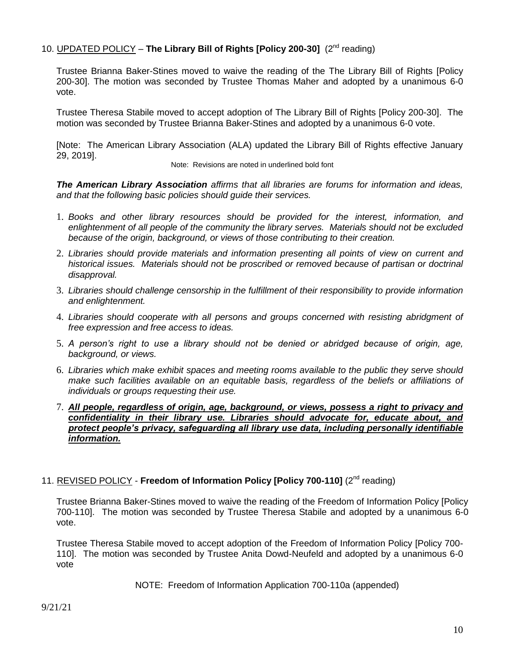# 10. **UPDATED POLICY** - The Library Bill of Rights [Policy 200-30] (2<sup>nd</sup> reading)

Trustee Brianna Baker-Stines moved to waive the reading of the The Library Bill of Rights [Policy 200-30]. The motion was seconded by Trustee Thomas Maher and adopted by a unanimous 6-0 vote.

Trustee Theresa Stabile moved to accept adoption of The Library Bill of Rights [Policy 200-30]. The motion was seconded by Trustee Brianna Baker-Stines and adopted by a unanimous 6-0 vote.

[Note: The American Library Association (ALA) updated the Library Bill of Rights effective January 29, 2019].

Note: Revisions are noted in underlined bold font

*The American Library Association affirms that all libraries are forums for information and ideas, and that the following basic policies should guide their services.*

- 1. *Books and other library resources should be provided for the interest, information, and enlightenment of all people of the community the library serves. Materials should not be excluded because of the origin, background, or views of those contributing to their creation.*
- 2. *Libraries should provide materials and information presenting all points of view on current and historical issues. Materials should not be proscribed or removed because of partisan or doctrinal disapproval.*
- 3. *Libraries should challenge censorship in the fulfillment of their responsibility to provide information and enlightenment.*
- 4. *Libraries should cooperate with all persons and groups concerned with resisting abridgment of free expression and free access to ideas.*
- 5. *A person's right to use a library should not be denied or abridged because of origin, age, background, or views.*
- 6. *Libraries which make exhibit spaces and meeting rooms available to the public they serve should make such facilities available on an equitable basis, regardless of the beliefs or affiliations of individuals or groups requesting their use.*
- 7. *All people, regardless of origin, age, background, or views, possess a right to privacy and confidentiality in their library use. Libraries should advocate for, educate about, and protect people's privacy, safeguarding all library use data, including personally identifiable information.*

# 11. REVISED POLICY - Freedom of Information Policy [Policy 700-110] (2<sup>nd</sup> reading)

Trustee Brianna Baker-Stines moved to waive the reading of the Freedom of Information Policy [Policy 700-110]. The motion was seconded by Trustee Theresa Stabile and adopted by a unanimous 6-0 vote.

Trustee Theresa Stabile moved to accept adoption of the Freedom of Information Policy [Policy 700- 110]. The motion was seconded by Trustee Anita Dowd-Neufeld and adopted by a unanimous 6-0 vote

NOTE: Freedom of Information Application 700-110a (appended)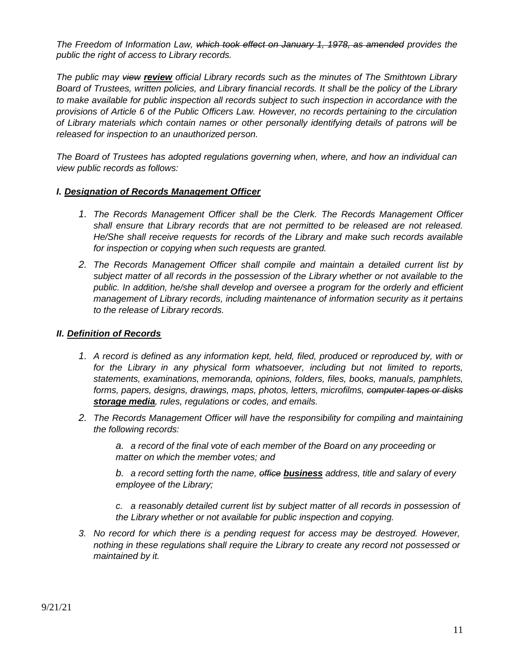*The Freedom of Information Law, which took effect on January 1, 1978, as amended provides the public the right of access to Library records.*

*The public may view review official Library records such as the minutes of The Smithtown Library Board of Trustees, written policies, and Library financial records. It shall be the policy of the Library to make available for public inspection all records subject to such inspection in accordance with the provisions of Article 6 of the Public Officers Law. However, no records pertaining to the circulation of Library materials which contain names or other personally identifying details of patrons will be released for inspection to an unauthorized person.*

*The Board of Trustees has adopted regulations governing when, where, and how an individual can view public records as follows:*

### *I. Designation of Records Management Officer*

- *1. The Records Management Officer shall be the Clerk. The Records Management Officer shall ensure that Library records that are not permitted to be released are not released. He/She shall receive requests for records of the Library and make such records available for inspection or copying when such requests are granted.*
- *2. The Records Management Officer shall compile and maintain a detailed current list by subject matter of all records in the possession of the Library whether or not available to the public. In addition, he/she shall develop and oversee a program for the orderly and efficient management of Library records, including maintenance of information security as it pertains to the release of Library records.*

# *II. Definition of Records*

- *1. A record is defined as any information kept, held, filed, produced or reproduced by, with or for the Library in any physical form whatsoever, including but not limited to reports, statements, examinations, memoranda, opinions, folders, files, books, manuals, pamphlets, forms, papers, designs, drawings, maps, photos, letters, microfilms, computer tapes or disks storage media, rules, regulations or codes, and emails.*
- *2. The Records Management Officer will have the responsibility for compiling and maintaining the following records:*

*a. a record of the final vote of each member of the Board on any proceeding or matter on which the member votes; and*

*b. a record setting forth the name, office business address, title and salary of every employee of the Library;*

*c. a reasonably detailed current list by subject matter of all records in possession of the Library whether or not available for public inspection and copying.*

*3. No record for which there is a pending request for access may be destroyed. However, nothing in these regulations shall require the Library to create any record not possessed or maintained by it.*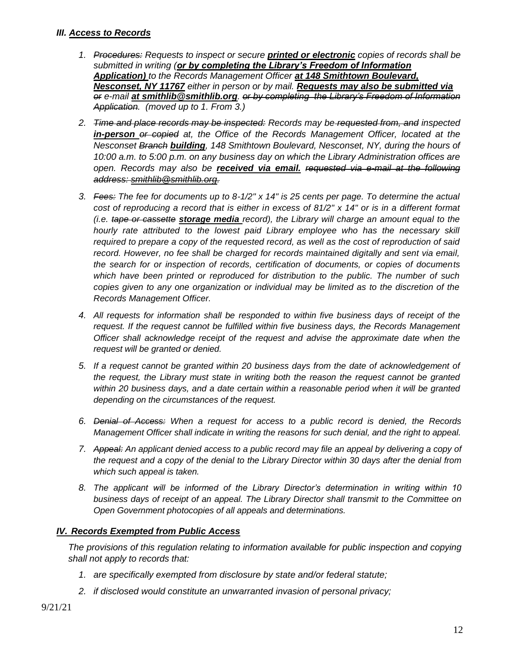# *III. Access to Records*

- *1. Procedures: Requests to inspect or secure printed or electronic copies of records shall be submitted in writing (or by completing the Library's Freedom of Information Application) to the Records Management Officer at 148 Smithtown Boulevard, Nesconset, NY 11767 either in person or by mail. Requests may also be submitted via or e-mail at smithlib@smithlib.org. or by completing the Library's Freedom of Information Application. (moved up to 1. From 3.)*
- *2. Time and place records may be inspected: Records may be requested from, and inspected in-person or copied at, the Office of the Records Management Officer, located at the Nesconset Branch building, 148 Smithtown Boulevard, Nesconset, NY, during the hours of 10:00 a.m. to 5:00 p.m. on any business day on which the Library Administration offices are open. Records may also be received via email. requested via e-mail at the following address: [smithlib@smithlib.org.](mailto:smithlib@smithlib.org)*
- *3. Fees: The fee for documents up to 8-1/2" x 14" is 25 cents per page. To determine the actual cost of reproducing a record that is either in excess of 81/2" x 14" or is in a different format (i.e. tape or cassette storage media record), the Library will charge an amount equal to the hourly rate attributed to the lowest paid Library employee who has the necessary skill required to prepare a copy of the requested record, as well as the cost of reproduction of said record. However, no fee shall be charged for records maintained digitally and sent via email, the search for or inspection of records, certification of documents, or copies of documents which have been printed or reproduced for distribution to the public. The number of such copies given to any one organization or individual may be limited as to the discretion of the Records Management Officer.*
- *4. All requests for information shall be responded to within five business days of receipt of the request. If the request cannot be fulfilled within five business days, the Records Management Officer shall acknowledge receipt of the request and advise the approximate date when the request will be granted or denied.*
- *5. If a request cannot be granted within 20 business days from the date of acknowledgement of the request, the Library must state in writing both the reason the request cannot be granted within 20 business days, and a date certain within a reasonable period when it will be granted depending on the circumstances of the request.*
- *6. Denial of Access: When a request for access to a public record is denied, the Records Management Officer shall indicate in writing the reasons for such denial, and the right to appeal.*
- *7. Appeal: An applicant denied access to a public record may file an appeal by delivering a copy of the request and a copy of the denial to the Library Director within 30 days after the denial from which such appeal is taken.*
- *8. The applicant will be informed of the Library Director's determination in writing within 10 business days of receipt of an appeal. The Library Director shall transmit to the Committee on Open Government photocopies of all appeals and determinations.*

# *IV. Records Exempted from Public Access*

*The provisions of this regulation relating to information available for public inspection and copying shall not apply to records that:*

- *1. are specifically exempted from disclosure by state and/or federal statute;*
- *2. if disclosed would constitute an unwarranted invasion of personal privacy;*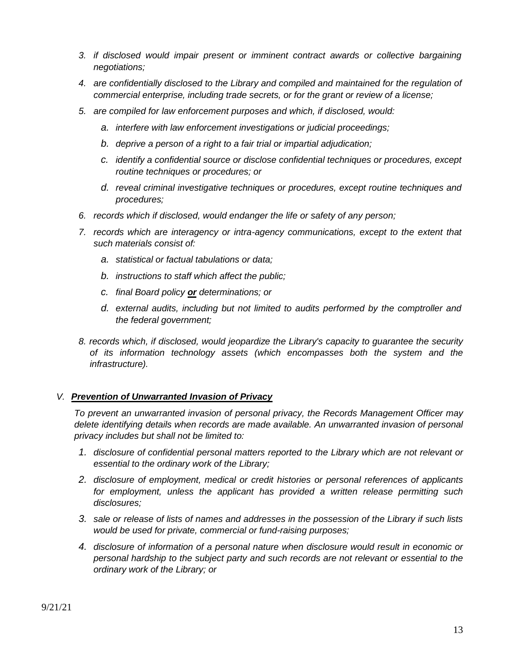- *3. if disclosed would impair present or imminent contract awards or collective bargaining negotiations;*
- *4. are confidentially disclosed to the Library and compiled and maintained for the regulation of commercial enterprise, including trade secrets, or for the grant or review of a license;*
- *5. are compiled for law enforcement purposes and which, if disclosed, would:*
	- *a. interfere with law enforcement investigations or judicial proceedings;*
	- *b. deprive a person of a right to a fair trial or impartial adjudication;*
	- *c. identify a confidential source or disclose confidential techniques or procedures, except routine techniques or procedures; or*
	- *d. reveal criminal investigative techniques or procedures, except routine techniques and procedures;*
- *6. records which if disclosed, would endanger the life or safety of any person;*
- *7. records which are interagency or intra-agency communications, except to the extent that such materials consist of:*
	- *a. statistical or factual tabulations or data;*
	- *b. instructions to staff which affect the public;*
	- *c. final Board policy or determinations; or*
	- *d. external audits, including but not limited to audits performed by the comptroller and the federal government;*
- *8. records which, if disclosed, would jeopardize the Library's capacity to guarantee the security of its information technology assets (which encompasses both the system and the infrastructure).*

# *V. Prevention of Unwarranted Invasion of Privacy*

*To prevent an unwarranted invasion of personal privacy, the Records Management Officer may delete identifying details when records are made available. An unwarranted invasion of personal privacy includes but shall not be limited to:*

- *1. disclosure of confidential personal matters reported to the Library which are not relevant or essential to the ordinary work of the Library;*
- *2. disclosure of employment, medical or credit histories or personal references of applicants for employment, unless the applicant has provided a written release permitting such disclosures;*
- *3. sale or release of lists of names and addresses in the possession of the Library if such lists would be used for private, commercial or fund-raising purposes;*
- *4. disclosure of information of a personal nature when disclosure would result in economic or personal hardship to the subject party and such records are not relevant or essential to the ordinary work of the Library; or*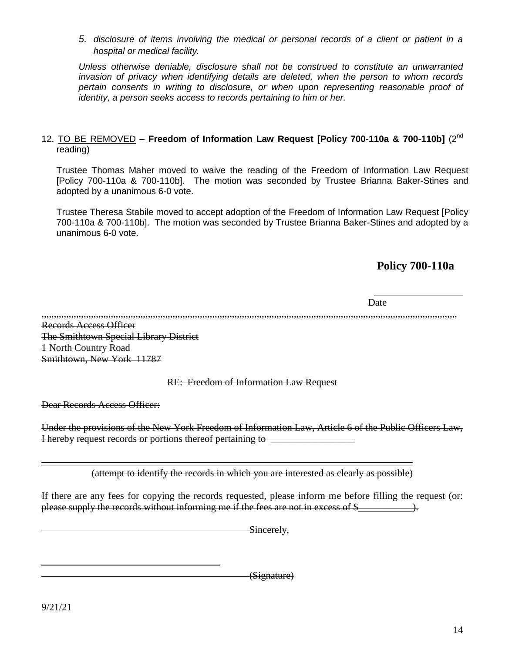*5. disclosure of items involving the medical or personal records of a client or patient in a hospital or medical facility.*

*Unless otherwise deniable, disclosure shall not be construed to constitute an unwarranted invasion of privacy when identifying details are deleted, when the person to whom records pertain consents in writing to disclosure, or when upon representing reasonable proof of identity, a person seeks access to records pertaining to him or her.*

# 12. TO BE REMOVED – **Freedom of Information Law Request [Policy 700-110a & 700-110b]** (2nd reading)

Trustee Thomas Maher moved to waive the reading of the Freedom of Information Law Request [Policy 700-110a & 700-110b]. The motion was seconded by Trustee Brianna Baker-Stines and adopted by a unanimous 6-0 vote.

Trustee Theresa Stabile moved to accept adoption of the Freedom of Information Law Request [Policy 700-110a & 700-110b]. The motion was seconded by Trustee Brianna Baker-Stines and adopted by a unanimous 6-0 vote.

# **Policy 700-110a**

Date

,,,,,,,,,,,,,,,,,,,,,,,,,,,,,,,,,,,,,,,,,,,,,,,,,,,,,,,,,,,,,,,,,,,,,,,,,,,,,,,,,,,,,,,,,,,,,,,,,,,,,,,,,,,,,,,,,,,,,,,,,,,,,,,,,,,,,,,,,,,,,,,,,,,,,,,,,,,,,,,,,,,,,,,,

Records Access Officer The Smithtown Special Library District 1 North Country Road Smithtown, New York 11787

# RE: Freedom of Information Law Request

Dear Records Access Officer:

Under the provisions of the New York Freedom of Information Law, Article 6 of the Public Officers Law, I hereby request records or portions thereof pertaining to \_\_\_\_\_\_\_\_\_\_\_\_\_\_\_\_\_

(attempt to identify the records in which you are interested as clearly as possible)

\_\_\_\_\_\_\_\_\_\_\_\_\_\_\_\_\_\_\_\_\_\_\_\_\_\_\_\_\_\_\_\_\_\_\_\_\_\_\_\_\_\_\_\_\_\_\_\_\_\_\_\_\_\_\_\_\_\_\_\_\_\_\_\_\_\_\_\_\_\_\_\_\_\_\_

If there are any fees for copying the records requested, please inform me before filling the request (or: please supply the records without informing me if the fees are not in excess of \$\_\_\_\_\_\_\_\_\_\_\_).

Sincerely,

(Signature)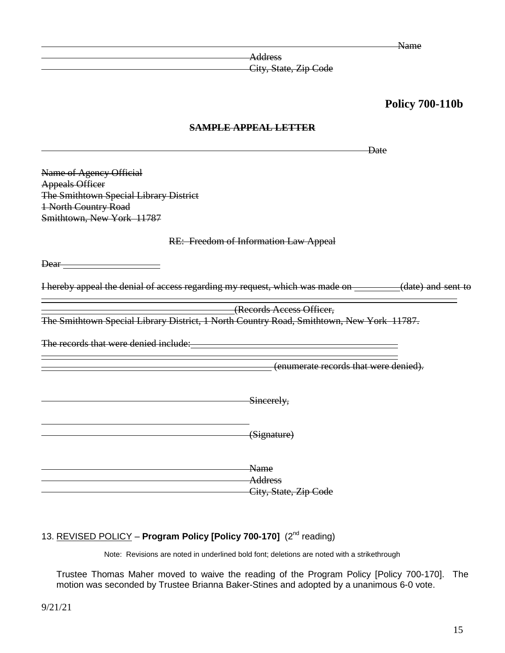Name

**Address** City, State, Zip Code

# **Policy 700-110b**

# **SAMPLE APPEAL LETTER**

Date Name of Agency Official Appeals Officer The Smithtown Special Library District 1 North Country Road Smithtown, New York 11787 RE: Freedom of Information Law Appeal Dear<sub>—</sub> I hereby appeal the denial of access regarding my request, which was made on \_\_\_\_\_\_\_(date) and sent to  $\overline{a}$ Example 2.1<br>
(Records Access Officer, The Smithtown Special Library District, 1 North Country Road, Smithtown, New York 11787. The records that were denied include:<br>
The records that were denied include: i<br>S (enumerate records that were denied). **Sincerely,** (Signature) Name **Address** City, State, Zip Code

# 13. REVISED POLICY - Program Policy [Policy 700-170] (2<sup>nd</sup> reading)

Note: Revisions are noted in underlined bold font; deletions are noted with a strikethrough

Trustee Thomas Maher moved to waive the reading of the Program Policy [Policy 700-170]. The motion was seconded by Trustee Brianna Baker-Stines and adopted by a unanimous 6-0 vote.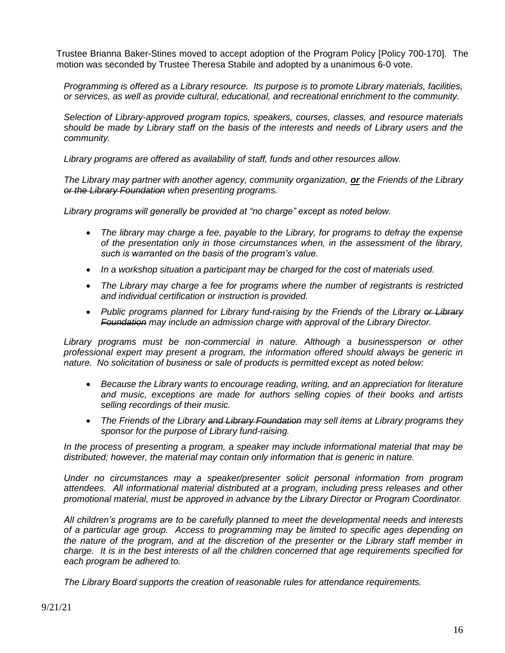Trustee Brianna Baker-Stines moved to accept adoption of the Program Policy [Policy 700-170]. The motion was seconded by Trustee Theresa Stabile and adopted by a unanimous 6-0 vote.

*Programming is offered as a Library resource. Its purpose is to promote Library materials, facilities, or services, as well as provide cultural, educational, and recreational enrichment to the community.* 

*Selection of Library-approved program topics, speakers, courses, classes, and resource materials should be made by Library staff on the basis of the interests and needs of Library users and the community.*

*Library programs are offered as availability of staff, funds and other resources allow.*

*The Library may partner with another agency, community organization, or the Friends of the Library or the Library Foundation when presenting programs.* 

*Library programs will generally be provided at "no charge" except as noted below.* 

- *The library may charge a fee, payable to the Library, for programs to defray the expense of the presentation only in those circumstances when, in the assessment of the library, such is warranted on the basis of the program's value.*
- *In a workshop situation a participant may be charged for the cost of materials used.*
- *The Library may charge a fee for programs where the number of registrants is restricted and individual certification or instruction is provided.*
- *Public programs planned for Library fund-raising by the Friends of the Library or Library Foundation may include an admission charge with approval of the Library Director.*

*Library programs must be non-commercial in nature. Although a businessperson or other professional expert may present a program, the information offered should always be generic in nature. No solicitation of business or sale of products is permitted except as noted below:*

- *Because the Library wants to encourage reading, writing, and an appreciation for literature and music, exceptions are made for authors selling copies of their books and artists selling recordings of their music.*
- *The Friends of the Library and Library Foundation may sell items at Library programs they sponsor for the purpose of Library fund-raising.*

*In the process of presenting a program, a speaker may include informational material that may be distributed; however, the material may contain only information that is generic in nature.* 

*Under no circumstances may a speaker/presenter solicit personal information from program attendees. All informational material distributed at a program, including press releases and other promotional material, must be approved in advance by the Library Director or Program Coordinator.* 

*All children's programs are to be carefully planned to meet the developmental needs and interests of a particular age group. Access to programming may be limited to specific ages depending on the nature of the program, and at the discretion of the presenter or the Library staff member in charge. It is in the best interests of all the children concerned that age requirements specified for each program be adhered to.* 

*The Library Board supports the creation of reasonable rules for attendance requirements.*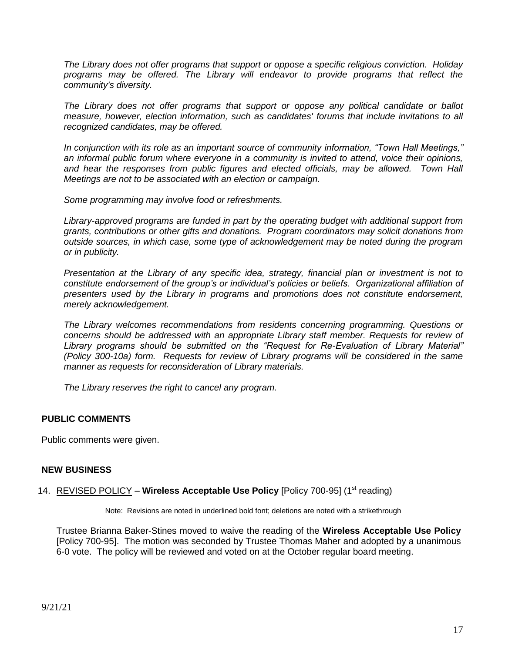*The Library does not offer programs that support or oppose a specific religious conviction. Holiday programs may be offered. The Library will endeavor to provide programs that reflect the community's diversity.* 

*The Library does not offer programs that support or oppose any political candidate or ballot measure, however, election information, such as candidates' forums that include invitations to all recognized candidates, may be offered.* 

*In conjunction with its role as an important source of community information, "Town Hall Meetings," an informal public forum where everyone in a community is invited to attend, voice their opinions,*  and hear the responses from public figures and elected officials, may be allowed. Town Hall *Meetings are not to be associated with an election or campaign.*

*Some programming may involve food or refreshments.* 

*Library-approved programs are funded in part by the operating budget with additional support from grants, contributions or other gifts and donations. Program coordinators may solicit donations from outside sources, in which case, some type of acknowledgement may be noted during the program or in publicity.*

*Presentation at the Library of any specific idea, strategy, financial plan or investment is not to constitute endorsement of the group's or individual's policies or beliefs. Organizational affiliation of presenters used by the Library in programs and promotions does not constitute endorsement, merely acknowledgement.*

*The Library welcomes recommendations from residents concerning programming. Questions or concerns should be addressed with an appropriate Library staff member. Requests for review of Library programs should be submitted on the "Request for Re-Evaluation of Library Material" (Policy 300-10a) form. Requests for review of Library programs will be considered in the same manner as requests for reconsideration of Library materials.* 

*The Library reserves the right to cancel any program.*

# **PUBLIC COMMENTS**

Public comments were given.

# **NEW BUSINESS**

### 14. REVISED POLICY – **Wireless Acceptable Use Policy** [Policy 700-95] (1<sup>st</sup> reading)

Note: Revisions are noted in underlined bold font; deletions are noted with a strikethrough

Trustee Brianna Baker-Stines moved to waive the reading of the **Wireless Acceptable Use Policy** [Policy 700-95]. The motion was seconded by Trustee Thomas Maher and adopted by a unanimous 6-0 vote. The policy will be reviewed and voted on at the October regular board meeting.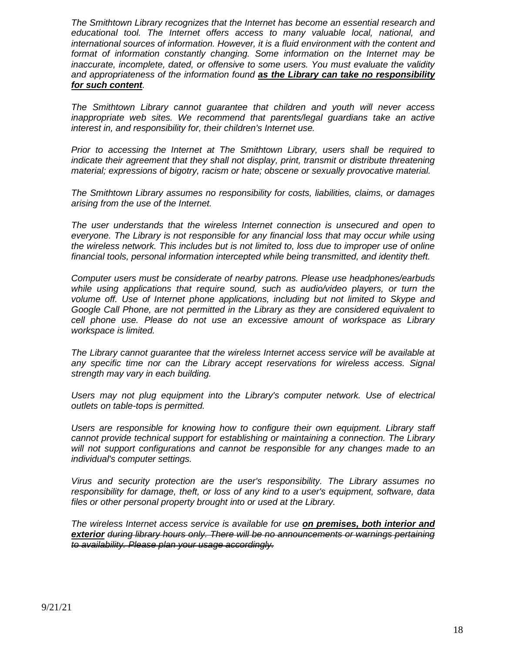*The Smithtown Library recognizes that the Internet has become an essential research and educational tool. The Internet offers access to many valuable local, national, and international sources of information. However, it is a fluid environment with the content and format of information constantly changing. Some information on the Internet may be inaccurate, incomplete, dated, or offensive to some users. You must evaluate the validity and appropriateness of the information found as the Library can take no responsibility for such content.*

*The Smithtown Library cannot guarantee that children and youth will never access*  inappropriate web sites. We recommend that parents/legal guardians take an active *interest in, and responsibility for, their children's Internet use.*

*Prior to accessing the Internet at The Smithtown Library, users shall be required to indicate their agreement that they shall not display, print, transmit or distribute threatening material; expressions of bigotry, racism or hate; obscene or sexually provocative material.*

*The Smithtown Library assumes no responsibility for costs, liabilities, claims, or damages arising from the use of the Internet.*

*The user understands that the wireless Internet connection is unsecured and open to everyone. The Library is not responsible for any financial loss that may occur while using the wireless network. This includes but is not limited to, loss due to improper use of online financial tools, personal information intercepted while being transmitted, and identity theft.*

*Computer users must be considerate of nearby patrons. Please use headphones/earbuds while using applications that require sound, such as audio/video players, or turn the volume off. Use of Internet phone applications, including but not limited to Skype and Google Call Phone, are not permitted in the Library as they are considered equivalent to cell phone use. Please do not use an excessive amount of workspace as Library workspace is limited.*

*The Library cannot guarantee that the wireless Internet access service will be available at any specific time nor can the Library accept reservations for wireless access. Signal strength may vary in each building.*

Users may not plug equipment into the Library's computer network. Use of electrical *outlets on table-tops is permitted.*

*Users are responsible for knowing how to configure their own equipment. Library staff cannot provide technical support for establishing or maintaining a connection. The Library*  will not support configurations and cannot be responsible for any changes made to an *individual's computer settings.*

*Virus and security protection are the user's responsibility. The Library assumes no responsibility for damage, theft, or loss of any kind to a user's equipment, software, data files or other personal property brought into or used at the Library.*

*The wireless Internet access service is available for use on premises, both interior and exterior during library hours only. There will be no announcements or warnings pertaining to availability. Please plan your usage accordingly.*